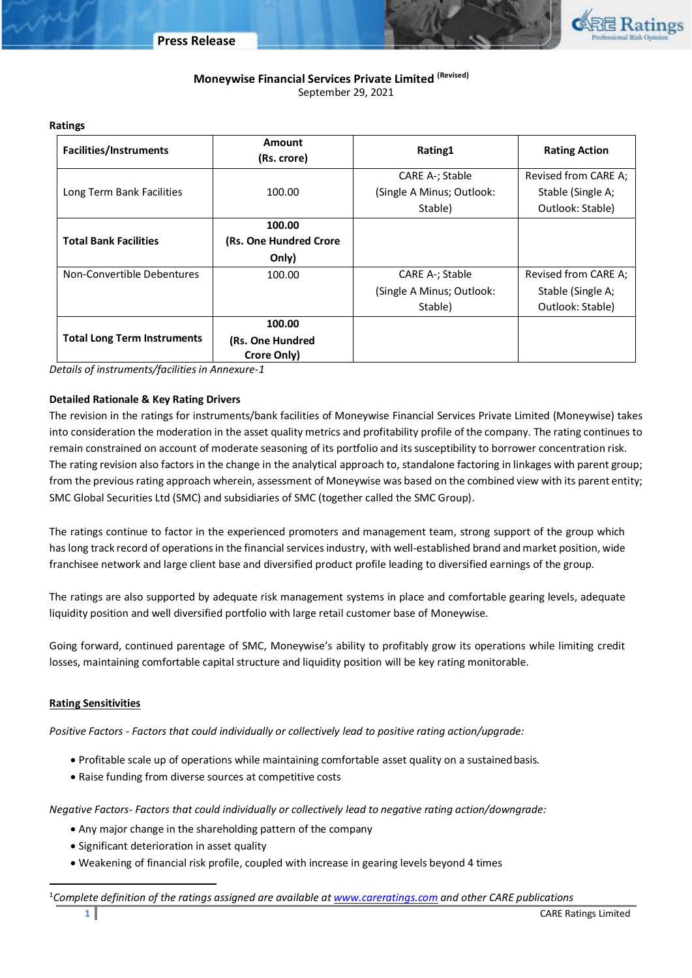

# **Moneywise Financial Services Private Limited (Revised)** September 29, 2021

| <b>Facilities/Instruments</b>      | Amount<br>(Rs. crore)           | Rating1                   | <b>Rating Action</b> |
|------------------------------------|---------------------------------|---------------------------|----------------------|
|                                    |                                 | CARE A-; Stable           | Revised from CARE A; |
| Long Term Bank Facilities          | 100.00                          | (Single A Minus; Outlook: | Stable (Single A;    |
|                                    |                                 | Stable)                   | Outlook: Stable)     |
|                                    | 100.00                          |                           |                      |
| <b>Total Bank Facilities</b>       | (Rs. One Hundred Crore          |                           |                      |
|                                    | Only)                           |                           |                      |
| Non-Convertible Debentures         | 100.00                          | CARE A-; Stable           | Revised from CARE A; |
|                                    |                                 | (Single A Minus; Outlook: | Stable (Single A;    |
|                                    |                                 | Stable)                   | Outlook: Stable)     |
|                                    | 100.00                          |                           |                      |
| <b>Total Long Term Instruments</b> | (Rs. One Hundred<br>Crore Only) |                           |                      |

*Details of instruments/facilities in Annexure-1*

# **Detailed Rationale & Key Rating Drivers**

The revision in the ratings for instruments/bank facilities of Moneywise Financial Services Private Limited (Moneywise) takes into consideration the moderation in the asset quality metrics and profitability profile of the company. The rating continues to remain constrained on account of moderate seasoning of its portfolio and its susceptibility to borrower concentration risk. The rating revision also factors in the change in the analytical approach to, standalone factoring in linkages with parent group; from the previous rating approach wherein, assessment of Moneywise was based on the combined view with its parent entity; SMC Global Securities Ltd (SMC) and subsidiaries of SMC (together called the SMC Group).

The ratings continue to factor in the experienced promoters and management team, strong support of the group which has long track record of operations in the financial services industry, with well-established brand and market position, wide franchisee network and large client base and diversified product profile leading to diversified earnings of the group.

The ratings are also supported by adequate risk management systems in place and comfortable gearing levels, adequate liquidity position and well diversified portfolio with large retail customer base of Moneywise.

Going forward, continued parentage of SMC, Moneywise's ability to profitably grow its operations while limiting credit losses, maintaining comfortable capital structure and liquidity position will be key rating monitorable.

## **Rating Sensitivities**

 $\overline{a}$ 

*Positive Factors - Factors that could individually or collectively lead to positive rating action/upgrade:*

- Profitable scale up of operations while maintaining comfortable asset quality on a sustainedbasis.
- Raise funding from diverse sources at competitive costs

*Negative Factors- Factors that could individually or collectively lead to negative rating action/downgrade:*

- Any major change in the shareholding pattern of the company
- Significant deterioration in asset quality
- Weakening of financial risk profile, coupled with increase in gearing levels beyond 4 times

<sup>1</sup>*Complete definition of the ratings assigned are available a[t www.careratings.com](http://www.careratings.com/) and other CARE publications* 

### **Ratings**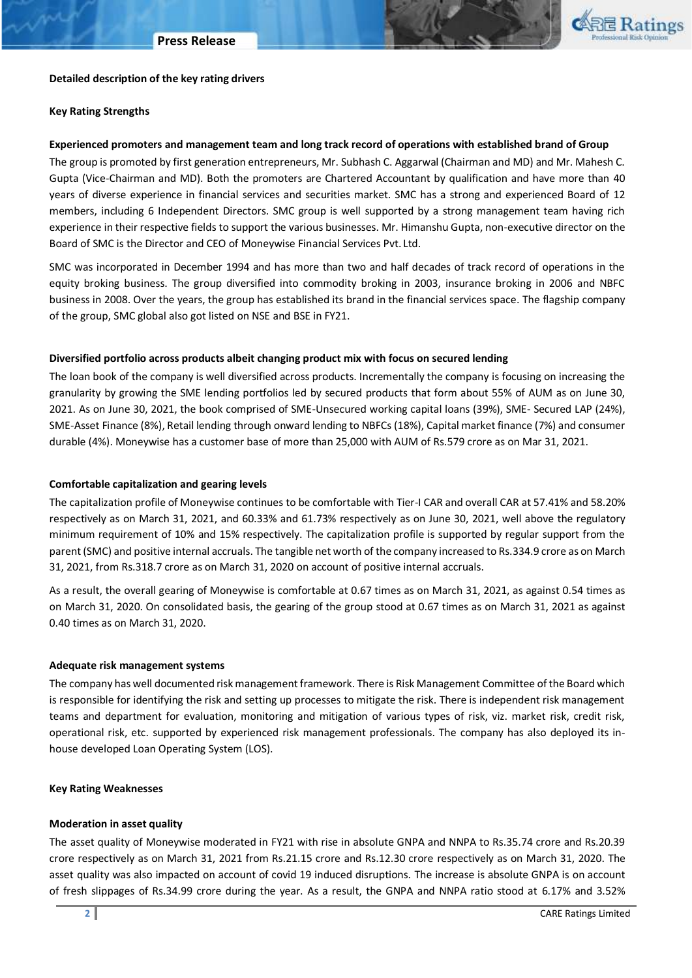

#### **Detailed description of the key rating drivers**

#### **Key Rating Strengths**

#### **Experienced promoters and management team and long track record of operations with established brand of Group**

The group is promoted by first generation entrepreneurs, Mr. Subhash C. Aggarwal (Chairman and MD) and Mr. Mahesh C. Gupta (Vice-Chairman and MD). Both the promoters are Chartered Accountant by qualification and have more than 40 years of diverse experience in financial services and securities market. SMC has a strong and experienced Board of 12 members, including 6 Independent Directors. SMC group is well supported by a strong management team having rich experience in their respective fields to support the various businesses. Mr. Himanshu Gupta, non-executive director on the Board of SMC is the Director and CEO of Moneywise Financial Services Pvt. Ltd.

SMC was incorporated in December 1994 and has more than two and half decades of track record of operations in the equity broking business. The group diversified into commodity broking in 2003, insurance broking in 2006 and NBFC business in 2008. Over the years, the group has established its brand in the financial services space. The flagship company of the group, SMC global also got listed on NSE and BSE in FY21.

#### **Diversified portfolio across products albeit changing product mix with focus on secured lending**

The loan book of the company is well diversified across products. Incrementally the company is focusing on increasing the granularity by growing the SME lending portfolios led by secured products that form about 55% of AUM as on June 30, 2021. As on June 30, 2021, the book comprised of SME-Unsecured working capital loans (39%), SME- Secured LAP (24%), SME-Asset Finance (8%), Retail lending through onward lending to NBFCs (18%), Capital market finance (7%) and consumer durable (4%). Moneywise has a customer base of more than 25,000 with AUM of Rs.579 crore as on Mar 31, 2021.

#### **Comfortable capitalization and gearing levels**

The capitalization profile of Moneywise continues to be comfortable with Tier-I CAR and overall CAR at 57.41% and 58.20% respectively as on March 31, 2021, and 60.33% and 61.73% respectively as on June 30, 2021, well above the regulatory minimum requirement of 10% and 15% respectively. The capitalization profile is supported by regular support from the parent (SMC) and positive internal accruals. The tangible net worth of the company increased to Rs.334.9 crore as on March 31, 2021, from Rs.318.7 crore as on March 31, 2020 on account of positive internal accruals.

As a result, the overall gearing of Moneywise is comfortable at 0.67 times as on March 31, 2021, as against 0.54 times as on March 31, 2020. On consolidated basis, the gearing of the group stood at 0.67 times as on March 31, 2021 as against 0.40 times as on March 31, 2020.

#### **Adequate risk management systems**

The company has well documented risk management framework. There is Risk Management Committee of the Board which is responsible for identifying the risk and setting up processes to mitigate the risk. There is independent risk management teams and department for evaluation, monitoring and mitigation of various types of risk, viz. market risk, credit risk, operational risk, etc. supported by experienced risk management professionals. The company has also deployed its inhouse developed Loan Operating System (LOS).

#### **Key Rating Weaknesses**

### **Moderation in asset quality**

The asset quality of Moneywise moderated in FY21 with rise in absolute GNPA and NNPA to Rs.35.74 crore and Rs.20.39 crore respectively as on March 31, 2021 from Rs.21.15 crore and Rs.12.30 crore respectively as on March 31, 2020. The asset quality was also impacted on account of covid 19 induced disruptions. The increase is absolute GNPA is on account of fresh slippages of Rs.34.99 crore during the year. As a result, the GNPA and NNPA ratio stood at 6.17% and 3.52%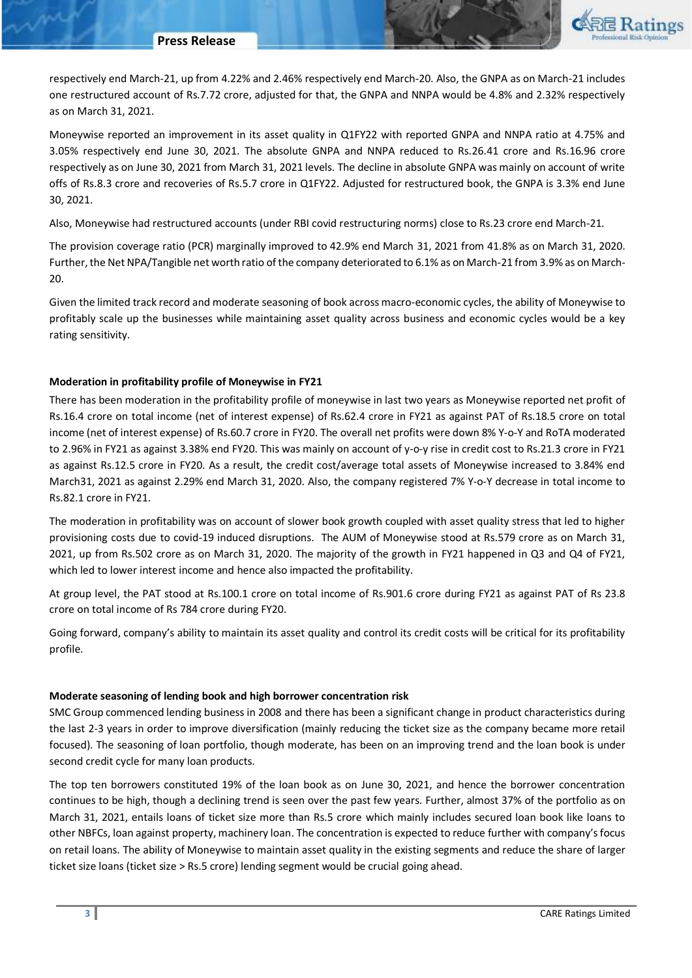

respectively end March-21, up from 4.22% and 2.46% respectively end March-20. Also, the GNPA as on March-21 includes one restructured account of Rs.7.72 crore, adjusted for that, the GNPA and NNPA would be 4.8% and 2.32% respectively as on March 31, 2021.

Moneywise reported an improvement in its asset quality in Q1FY22 with reported GNPA and NNPA ratio at 4.75% and 3.05% respectively end June 30, 2021. The absolute GNPA and NNPA reduced to Rs.26.41 crore and Rs.16.96 crore respectively as on June 30, 2021 from March 31, 2021 levels. The decline in absolute GNPA was mainly on account of write offs of Rs.8.3 crore and recoveries of Rs.5.7 crore in Q1FY22. Adjusted for restructured book, the GNPA is 3.3% end June 30, 2021.

Also, Moneywise had restructured accounts (under RBI covid restructuring norms) close to Rs.23 crore end March-21.

The provision coverage ratio (PCR) marginally improved to 42.9% end March 31, 2021 from 41.8% as on March 31, 2020. Further, the Net NPA/Tangible net worth ratio of the company deteriorated to 6.1% as on March-21 from 3.9% as on March-20.

Given the limited track record and moderate seasoning of book across macro-economic cycles, the ability of Moneywise to profitably scale up the businesses while maintaining asset quality across business and economic cycles would be a key rating sensitivity.

## **Moderation in profitability profile of Moneywise in FY21**

There has been moderation in the profitability profile of moneywise in last two years as Moneywise reported net profit of Rs.16.4 crore on total income (net of interest expense) of Rs.62.4 crore in FY21 as against PAT of Rs.18.5 crore on total income (net of interest expense) of Rs.60.7 crore in FY20. The overall net profits were down 8% Y-o-Y and RoTA moderated to 2.96% in FY21 as against 3.38% end FY20. This was mainly on account of y-o-y rise in credit cost to Rs.21.3 crore in FY21 as against Rs.12.5 crore in FY20. As a result, the credit cost/average total assets of Moneywise increased to 3.84% end March31, 2021 as against 2.29% end March 31, 2020. Also, the company registered 7% Y-o-Y decrease in total income to Rs.82.1 crore in FY21.

The moderation in profitability was on account of slower book growth coupled with asset quality stress that led to higher provisioning costs due to covid-19 induced disruptions. The AUM of Moneywise stood at Rs.579 crore as on March 31, 2021, up from Rs.502 crore as on March 31, 2020. The majority of the growth in FY21 happened in Q3 and Q4 of FY21, which led to lower interest income and hence also impacted the profitability.

At group level, the PAT stood at Rs.100.1 crore on total income of Rs.901.6 crore during FY21 as against PAT of Rs 23.8 crore on total income of Rs 784 crore during FY20.

Going forward, company's ability to maintain its asset quality and control its credit costs will be critical for its profitability profile.

## **Moderate seasoning of lending book and high borrower concentration risk**

SMC Group commenced lending business in 2008 and there has been a significant change in product characteristics during the last 2-3 years in order to improve diversification (mainly reducing the ticket size as the company became more retail focused). The seasoning of loan portfolio, though moderate, has been on an improving trend and the loan book is under second credit cycle for many loan products.

The top ten borrowers constituted 19% of the loan book as on June 30, 2021, and hence the borrower concentration continues to be high, though a declining trend is seen over the past few years. Further, almost 37% of the portfolio as on March 31, 2021, entails loans of ticket size more than Rs.5 crore which mainly includes secured loan book like loans to other NBFCs, loan against property, machinery loan. The concentration is expected to reduce further with company's focus on retail loans. The ability of Moneywise to maintain asset quality in the existing segments and reduce the share of larger ticket size loans (ticket size > Rs.5 crore) lending segment would be crucial going ahead.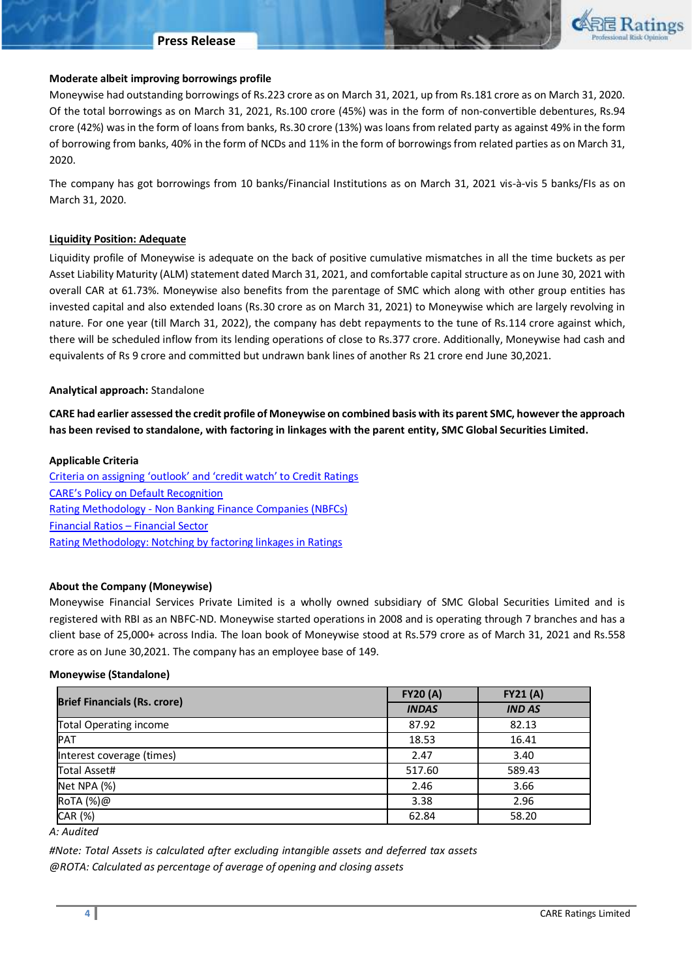#### **Press Release**



### **Moderate albeit improving borrowings profile**

Moneywise had outstanding borrowings of Rs.223 crore as on March 31, 2021, up from Rs.181 crore as on March 31, 2020. Of the total borrowings as on March 31, 2021, Rs.100 crore (45%) was in the form of non-convertible debentures, Rs.94 crore (42%) was in the form of loans from banks, Rs.30 crore (13%) was loans from related party as against 49% in the form of borrowing from banks, 40% in the form of NCDs and 11% in the form of borrowings from related parties as on March 31, 2020.

The company has got borrowings from 10 banks/Financial Institutions as on March 31, 2021 vis-à-vis 5 banks/FIs as on March 31, 2020.

### **Liquidity Position: Adequate**

Liquidity profile of Moneywise is adequate on the back of positive cumulative mismatches in all the time buckets as per Asset Liability Maturity (ALM) statement dated March 31, 2021, and comfortable capital structure as on June 30, 2021 with overall CAR at 61.73%. Moneywise also benefits from the parentage of SMC which along with other group entities has invested capital and also extended loans (Rs.30 crore as on March 31, 2021) to Moneywise which are largely revolving in nature. For one year (till March 31, 2022), the company has debt repayments to the tune of Rs.114 crore against which, there will be scheduled inflow from its lending operations of close to Rs.377 crore. Additionally, Moneywise had cash and equivalents of Rs 9 crore and committed but undrawn bank lines of another Rs 21 crore end June 30,2021.

### **Analytical approach:** Standalone

**CARE had earlier assessed the credit profile of Moneywise on combined basis with its parent SMC, however the approach has been revised to standalone, with factoring in linkages with the parent entity, SMC Global Securities Limited.**

#### **Applicable Criteria**

[Criteria on assigning 'outlook' and 'credit watch' to Credit Ratings](https://www.careratings.com/pdf/resources/Rating%20Outlook%20and%20credit%20watch_May2020.pdf) [CARE's Policy on Default Recognition](https://www.careratings.com/pdf/resources/CARE) Rating Methodology - [Non Banking Finance Companies \(NBFCs\)](https://www.careratings.com/upload/NewsFiles/GetRated/Rating%20Methodology-NBFC_October2020.pdf) [Financial Ratios](https://www.careratings.com/pdf/resources/Financial%20Ratios%20_Financial%20Sector_September2020.pdf) – Financial Sector [Rating Methodology: Notching by factoring linkages in Ratings](https://www.careratings.com/upload/NewsFiles/GetRated/Rating%20Methodology-Parent%20Sub%20JV%20Group_October2020.pdf)

#### **About the Company (Moneywise)**

Moneywise Financial Services Private Limited is a wholly owned subsidiary of SMC Global Securities Limited and is registered with RBI as an NBFC-ND. Moneywise started operations in 2008 and is operating through 7 branches and has a client base of 25,000+ across India. The loan book of Moneywise stood at Rs.579 crore as of March 31, 2021 and Rs.558 crore as on June 30,2021. The company has an employee base of 149.

#### **Moneywise (Standalone)**

|                                     | <b>FY20 (A)</b> | <b>FY21 (A)</b> |  |
|-------------------------------------|-----------------|-----------------|--|
| <b>Brief Financials (Rs. crore)</b> | <b>INDAS</b>    | <b>IND AS</b>   |  |
| <b>Total Operating income</b>       | 87.92           | 82.13           |  |
| PAT                                 | 18.53           | 16.41           |  |
| Interest coverage (times)           | 2.47            | 3.40            |  |
| <b>Total Asset#</b>                 | 517.60          | 589.43          |  |
| Net NPA (%)                         | 2.46            | 3.66            |  |
| RoTA (%)@                           | 3.38            | 2.96            |  |
| CAR (%)                             | 62.84           | 58.20           |  |
| .                                   |                 |                 |  |

*A: Audited*

*#Note: Total Assets is calculated after excluding intangible assets and deferred tax assets @ROTA: Calculated as percentage of average of opening and closing assets*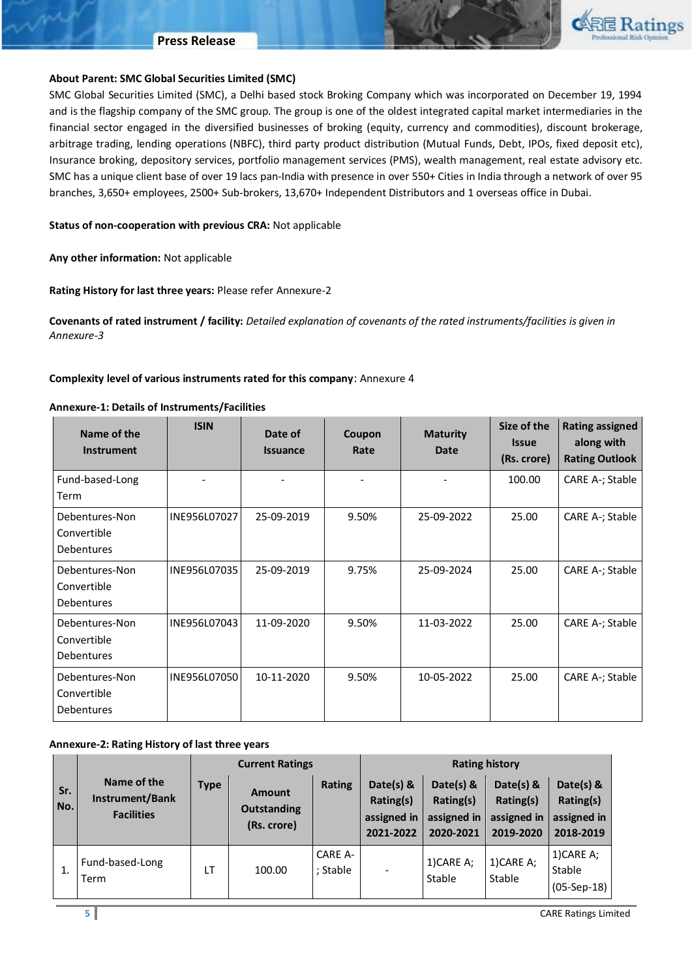### **Press Release**



## **About Parent: SMC Global Securities Limited (SMC)**

SMC Global Securities Limited (SMC), a Delhi based stock Broking Company which was incorporated on December 19, 1994 and is the flagship company of the SMC group. The group is one of the oldest integrated capital market intermediaries in the financial sector engaged in the diversified businesses of broking (equity, currency and commodities), discount brokerage, arbitrage trading, lending operations (NBFC), third party product distribution (Mutual Funds, Debt, IPOs, fixed deposit etc), Insurance broking, depository services, portfolio management services (PMS), wealth management, real estate advisory etc. SMC has a unique client base of over 19 lacs pan-India with presence in over 550+ Cities in India through a network of over 95 branches, 3,650+ employees, 2500+ Sub-brokers, 13,670+ Independent Distributors and 1 overseas office in Dubai.

### **Status of non-cooperation with previous CRA:** Not applicable

**Any other information:** Not applicable

**Rating History for last three years:** Please refer Annexure-2

**Covenants of rated instrument / facility:** *Detailed explanation of covenants of the rated instruments/facilities is given in Annexure-3*

### **Complexity level of various instruments rated for this company**: Annexure 4

### **Annexure-1: Details of Instruments/Facilities**

| Name of the<br><b>Instrument</b>            | <b>ISIN</b>  | Date of<br><b>Issuance</b> | Coupon<br>Rate | <b>Maturity</b><br>Date | Size of the<br><b>Issue</b><br>(Rs. crore) | <b>Rating assigned</b><br>along with<br><b>Rating Outlook</b> |
|---------------------------------------------|--------------|----------------------------|----------------|-------------------------|--------------------------------------------|---------------------------------------------------------------|
| Fund-based-Long<br>Term                     |              |                            |                |                         | 100.00                                     | CARE A-; Stable                                               |
| Debentures-Non<br>Convertible<br>Debentures | INE956L07027 | 25-09-2019                 | 9.50%          | 25-09-2022              | 25.00                                      | CARE A-; Stable                                               |
| Debentures-Non<br>Convertible<br>Debentures | INE956L07035 | 25-09-2019                 | 9.75%          | 25-09-2024              | 25.00                                      | CARE A-; Stable                                               |
| Debentures-Non<br>Convertible<br>Debentures | INE956L07043 | 11-09-2020                 | 9.50%          | 11-03-2022              | 25.00                                      | CARE A-; Stable                                               |
| Debentures-Non<br>Convertible<br>Debentures | INE956L07050 | 10-11-2020                 | 9.50%          | 10-05-2022              | 25.00                                      | CARE A-; Stable                                               |

## **Annexure-2: Rating History of last three years**

|            | <b>Current Ratings</b>                              |             |                                             | <b>Rating history</b> |                                                    |                                                    |                                                    |                                                    |
|------------|-----------------------------------------------------|-------------|---------------------------------------------|-----------------------|----------------------------------------------------|----------------------------------------------------|----------------------------------------------------|----------------------------------------------------|
| Sr.<br>No. | Name of the<br>Instrument/Bank<br><b>Facilities</b> | <b>Type</b> | Amount<br><b>Outstanding</b><br>(Rs. crore) | Rating                | Date(s) &<br>Rating(s)<br>assigned in<br>2021-2022 | Date(s) &<br>Rating(s)<br>assigned in<br>2020-2021 | Date(s) &<br>Rating(s)<br>assigned in<br>2019-2020 | Date(s) &<br>Rating(s)<br>assigned in<br>2018-2019 |
| 1.         | Fund-based-Long<br>Term                             | LT          | 100.00                                      | CARE A-<br>; Stable   | $\overline{\phantom{a}}$                           | 1) CARE A;<br>Stable                               | $1)$ CARE A;<br>Stable                             | $1)$ CARE A;<br>Stable<br>$(05-Sep-18)$            |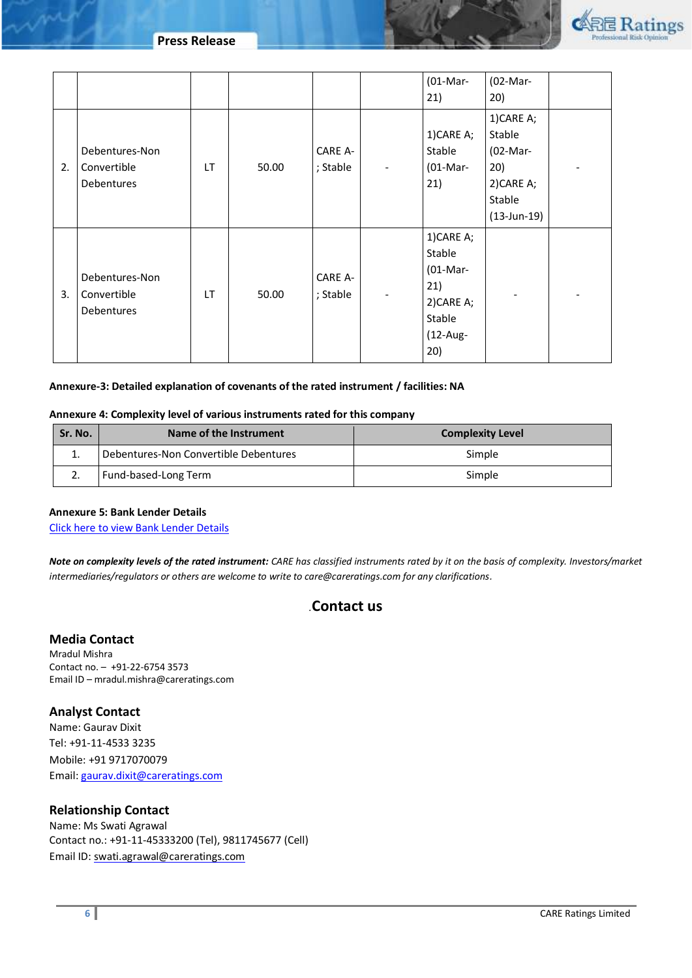**Press Release**



|    |                                             |     |       |                     |                          | $(01-Mar-$<br>21)                                                                      | (02-Mar-<br>20)                                                                    |  |
|----|---------------------------------------------|-----|-------|---------------------|--------------------------|----------------------------------------------------------------------------------------|------------------------------------------------------------------------------------|--|
| 2. | Debentures-Non<br>Convertible<br>Debentures | LT. | 50.00 | CARE A-<br>; Stable | $\overline{\phantom{a}}$ | 1)CARE A;<br>Stable<br>$(01-Mar-$<br>21)                                               | 1)CARE A;<br>Stable<br>(02-Mar-<br>20)<br>2)CARE A;<br>Stable<br>$(13 - Jun - 19)$ |  |
| 3. | Debentures-Non<br>Convertible<br>Debentures | LT. | 50.00 | CARE A-<br>; Stable |                          | 1)CARE A;<br>Stable<br>$(01-Mar-$<br>21)<br>2) CARE A;<br>Stable<br>$(12-Aug -$<br>20) |                                                                                    |  |

## **Annexure-3: Detailed explanation of covenants of the rated instrument / facilities: NA**

### **Annexure 4: Complexity level of various instruments rated for this company**

| Sr. No. | Name of the Instrument                | <b>Complexity Level</b> |  |  |
|---------|---------------------------------------|-------------------------|--|--|
| . .     | Debentures-Non Convertible Debentures | Simple                  |  |  |
|         | Fund-based-Long Term                  | Simple                  |  |  |

### **Annexure 5: Bank Lender Details**

[Click here to view Bank Lender Details](https://www.careratings.com/Bankdetails.aspx?Id=Hi2JYIfvZ8ssAVTdTrCHww==)

*Note on complexity levels of the rated instrument: CARE has classified instruments rated by it on the basis of complexity. Investors/market intermediaries/regulators or others are welcome to write to care@careratings.com for any clarifications.*

# *.***Contact us**

## **Media Contact**

Mradul Mishra Contact no. – +91-22-6754 3573 Email ID – mradul.mishra@careratings.com

## **Analyst Contact**

Name: Gaurav Dixit Tel: +91-11-4533 3235 Mobile: +91 9717070079 Email[: gaurav.dixit@careratings.com](mailto:gaurav.dixit@careratings.com)

# **Relationship Contact**

Name: Ms Swati Agrawal Contact no.: +91-11-45333200 (Tel), 9811745677 (Cell) Email ID[: swati.agrawal@careratings.com](mailto:swati.agrawal@careratings.com)